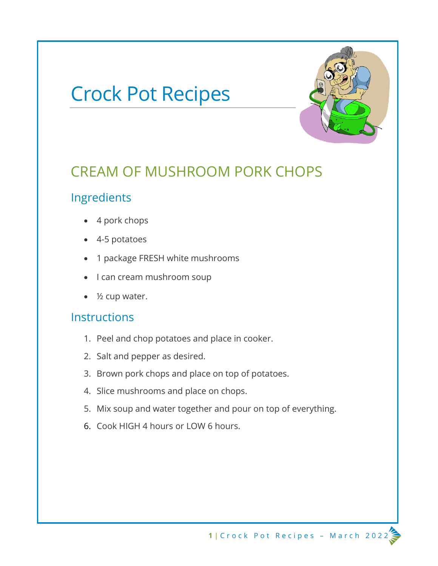# Crock Pot Recipes



# CREAM OF MUSHROOM PORK CHOPS

### Ingredients

- 4 pork chops
- 4-5 potatoes
- 1 package FRESH white mushrooms
- I can cream mushroom soup
- ½ cup water.

- 1. Peel and chop potatoes and place in cooker.
- 2. Salt and pepper as desired.
- 3. Brown pork chops and place on top of potatoes.
- 4. Slice mushrooms and place on chops.
- 5. Mix soup and water together and pour on top of everything.
- 6. Cook HIGH 4 hours or LOW 6 hours.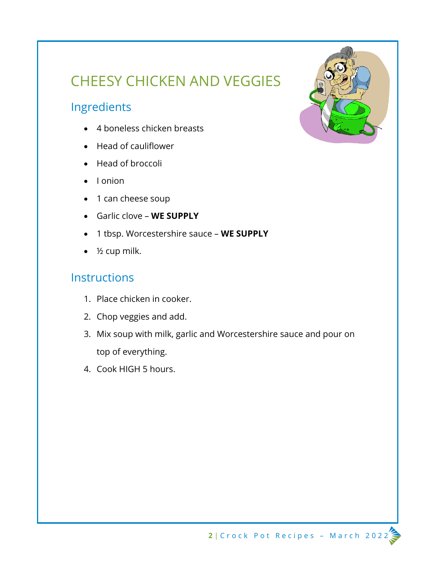# CHEESY CHICKEN AND VEGGIES

### Ingredients

- 4 boneless chicken breasts
- Head of cauliflower
- Head of broccoli
- I onion
- 1 can cheese soup
- Garlic clove **WE SUPPLY**
- 1 tbsp. Worcestershire sauce **WE SUPPLY**
- ½ cup milk.

- 1. Place chicken in cooker.
- 2. Chop veggies and add.
- 3. Mix soup with milk, garlic and Worcestershire sauce and pour on top of everything.
- 4. Cook HIGH 5 hours.

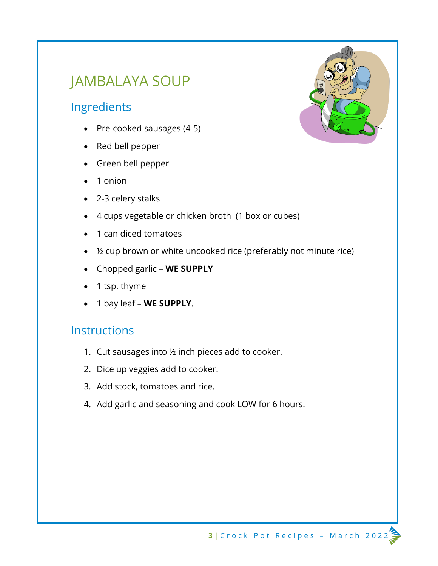# JAMBALAYA SOUP

### Ingredients

- Pre-cooked sausages (4-5)
- Red bell pepper
- Green bell pepper
- 1 onion
- 2-3 celery stalks
- 4 cups vegetable or chicken broth (1 box or cubes)
- 1 can diced tomatoes
- $\frac{1}{2}$  cup brown or white uncooked rice (preferably not minute rice)
- Chopped garlic **WE SUPPLY**
- 1 tsp. thyme
- 1 bay leaf **WE SUPPLY**.

- 1. Cut sausages into ½ inch pieces add to cooker.
- 2. Dice up veggies add to cooker.
- 3. Add stock, tomatoes and rice.
- 4. Add garlic and seasoning and cook LOW for 6 hours.

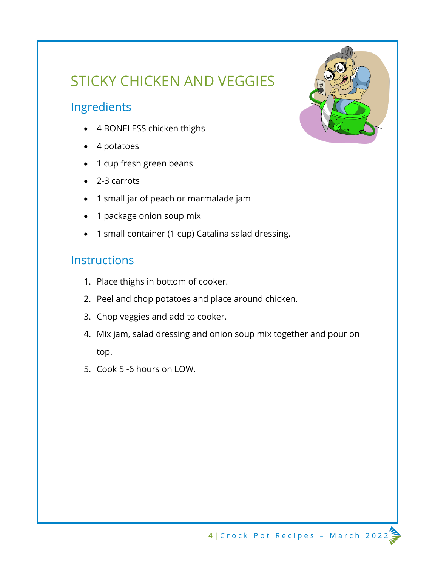# STICKY CHICKEN AND VEGGIES

### Ingredients

- 4 BONELESS chicken thighs
- 4 potatoes
- 1 cup fresh green beans
- 2-3 carrots
- 1 small jar of peach or marmalade jam
- 1 package onion soup mix
- 1 small container (1 cup) Catalina salad dressing.

- 1. Place thighs in bottom of cooker.
- 2. Peel and chop potatoes and place around chicken.
- 3. Chop veggies and add to cooker.
- 4. Mix jam, salad dressing and onion soup mix together and pour on top.
- 5. Cook 5 -6 hours on LOW.